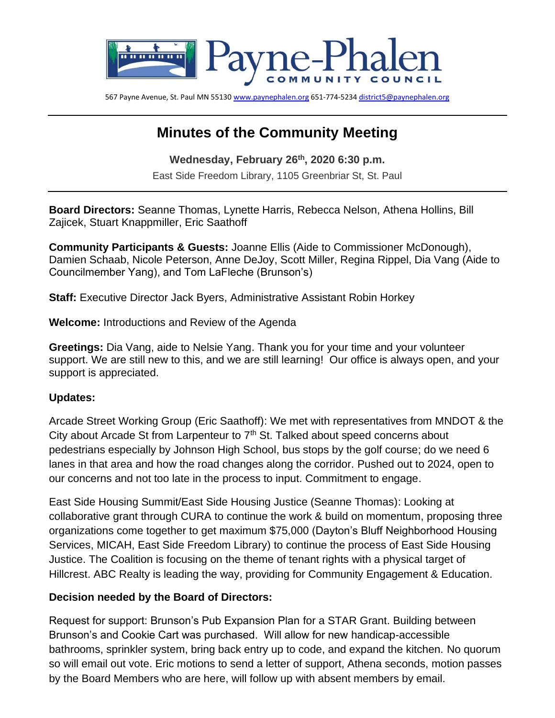

567 Payne Avenue, St. Paul MN 5513[0 www.paynephalen.org](http://www.paynephalen.org/) 651-774-523[4 district5@paynephalen.org](mailto:district5@paynephalen.org)

# **Minutes of the Community Meeting**

**Wednesday, February 26th , 2020 6:30 p.m.** East Side Freedom Library, 1105 Greenbriar St, St. Paul

**Board Directors:** Seanne Thomas, Lynette Harris, Rebecca Nelson, Athena Hollins, Bill Zajicek, Stuart Knappmiller, Eric Saathoff

**Community Participants & Guests:** Joanne Ellis (Aide to Commissioner McDonough), Damien Schaab, Nicole Peterson, Anne DeJoy, Scott Miller, Regina Rippel, Dia Vang (Aide to Councilmember Yang), and Tom LaFleche (Brunson's)

**Staff:** Executive Director Jack Byers, Administrative Assistant Robin Horkey

**Welcome:** Introductions and Review of the Agenda

**Greetings:** Dia Vang, aide to Nelsie Yang. Thank you for your time and your volunteer support. We are still new to this, and we are still learning! Our office is always open, and your support is appreciated.

#### **Updates:**

Arcade Street Working Group (Eric Saathoff): We met with representatives from MNDOT & the City about Arcade St from Larpenteur to  $7<sup>th</sup>$  St. Talked about speed concerns about pedestrians especially by Johnson High School, bus stops by the golf course; do we need 6 lanes in that area and how the road changes along the corridor. Pushed out to 2024, open to our concerns and not too late in the process to input. Commitment to engage.

East Side Housing Summit/East Side Housing Justice (Seanne Thomas): Looking at collaborative grant through CURA to continue the work & build on momentum, proposing three organizations come together to get maximum \$75,000 (Dayton's Bluff Neighborhood Housing Services, MICAH, East Side Freedom Library) to continue the process of East Side Housing Justice. The Coalition is focusing on the theme of tenant rights with a physical target of Hillcrest. ABC Realty is leading the way, providing for Community Engagement & Education.

## **Decision needed by the Board of Directors:**

Request for support: Brunson's Pub Expansion Plan for a STAR Grant. Building between Brunson's and Cookie Cart was purchased. Will allow for new handicap-accessible bathrooms, sprinkler system, bring back entry up to code, and expand the kitchen. No quorum so will email out vote. Eric motions to send a letter of support, Athena seconds, motion passes by the Board Members who are here, will follow up with absent members by email.